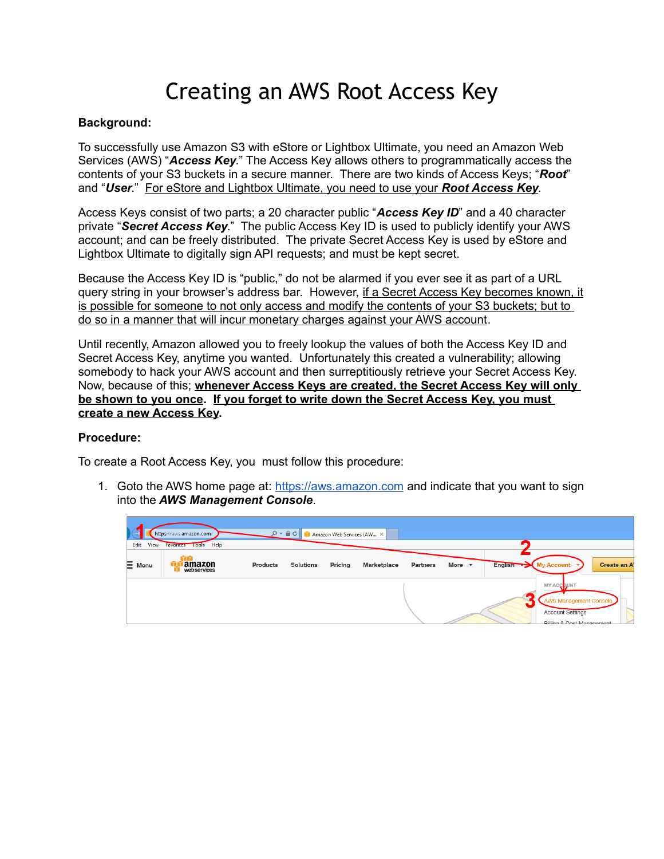## Creating an AWS Root Access Key

## **Background:**

To successfully use Amazon S3 with eStore or Lightbox Ultimate, you need an Amazon Web Services (AWS) "*Access Key*." The Access Key allows others to programmatically access the contents of your S3 buckets in a secure manner. There are two kinds of Access Keys; "*Root*" and "*User*." For eStore and Lightbox Ultimate, you need to use your *Root Access Key*.

Access Keys consist of two parts; a 20 character public "*Access Key ID*" and a 40 character private "*Secret Access Key*." The public Access Key ID is used to publicly identify your AWS account; and can be freely distributed. The private Secret Access Key is used by eStore and Lightbox Ultimate to digitally sign API requests; and must be kept secret.

Because the Access Key ID is "public," do not be alarmed if you ever see it as part of a URL query string in your browser's address bar. However, if a Secret Access Key becomes known, it is possible for someone to not only access and modify the contents of your S3 buckets; but to do so in a manner that will incur monetary charges against your AWS account.

Until recently, Amazon allowed you to freely lookup the values of both the Access Key ID and Secret Access Key, anytime you wanted. Unfortunately this created a vulnerability; allowing somebody to hack your AWS account and then surreptitiously retrieve your Secret Access Key. Now, because of this; **whenever Access Keys are created, the Secret Access Key will only be shown to you once. If you forget to write down the Secret Access Key, you must create a new Access Key.**

## **Procedure:**

To create a Root Access Key, you must follow this procedure:

1. Goto the AWS home page at: [https://aws.amazon.com](https://aws.amazon.com/) and indicate that you want to sign into the *AWS Management Console*.

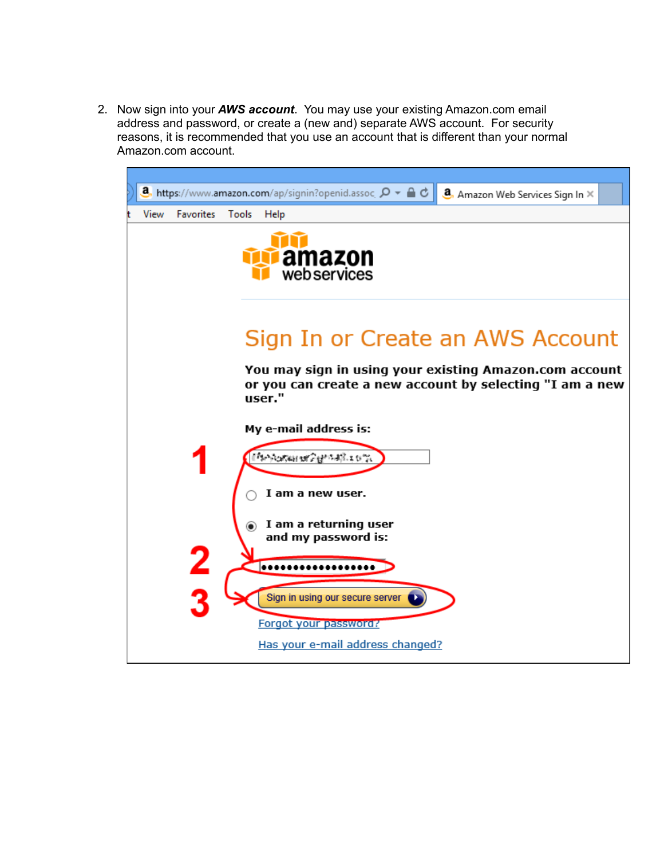2. Now sign into your *AWS account*. You may use your existing Amazon.com email address and password, or create a (new and) separate AWS account. For security reasons, it is recommended that you use an account that is different than your normal Amazon.com account.

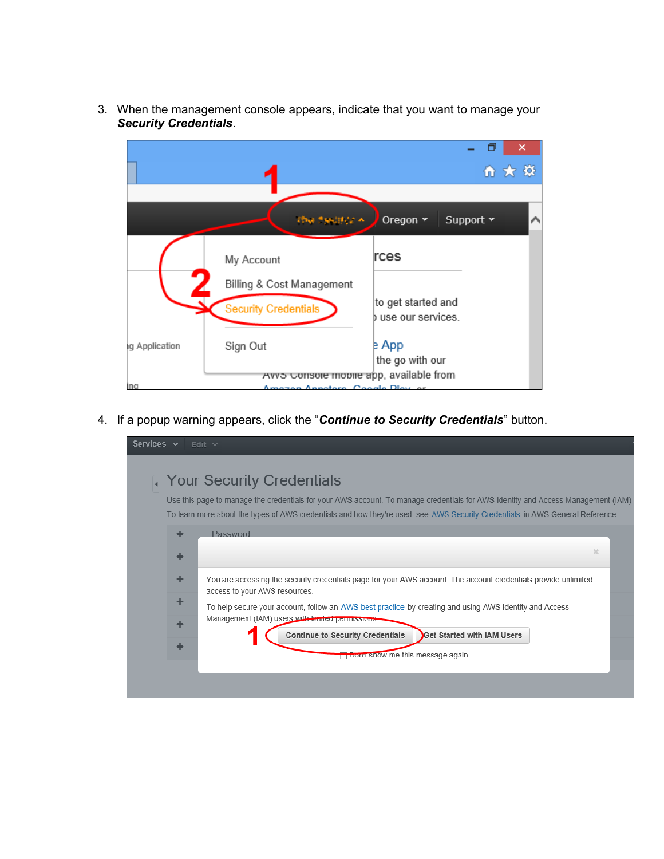

3. When the management console appears, indicate that you want to manage your *Security Credentials*.

4. If a popup warning appears, click the "*Continue to Security Credentials*" button.

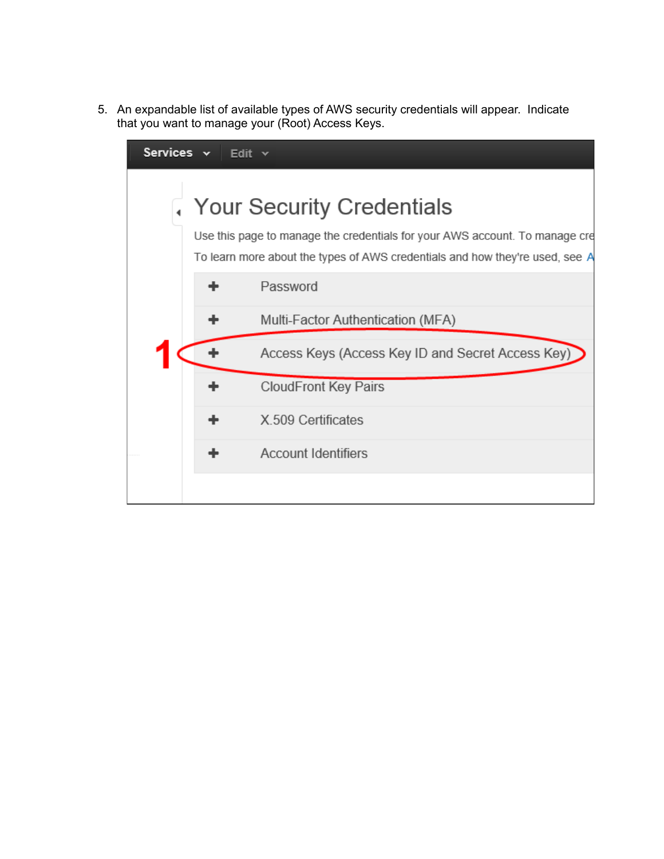5. An expandable list of available types of AWS security credentials will appear. Indicate that you want to manage your (Root) Access Keys.

| Services v | Edit $\vee$ |                                                                                                                                                                                          |
|------------|-------------|------------------------------------------------------------------------------------------------------------------------------------------------------------------------------------------|
|            |             | Your Security Credentials<br>Use this page to manage the credentials for your AWS account. To manage cre<br>To learn more about the types of AWS credentials and how they're used, see A |
|            |             | Password                                                                                                                                                                                 |
|            |             | Multi-Factor Authentication (MFA)                                                                                                                                                        |
|            |             | Access Keys (Access Key ID and Secret Access Key)                                                                                                                                        |
|            |             | <b>CloudFront Key Pairs</b>                                                                                                                                                              |
|            |             | X.509 Certificates                                                                                                                                                                       |
|            |             | <b>Account Identifiers</b>                                                                                                                                                               |
|            |             |                                                                                                                                                                                          |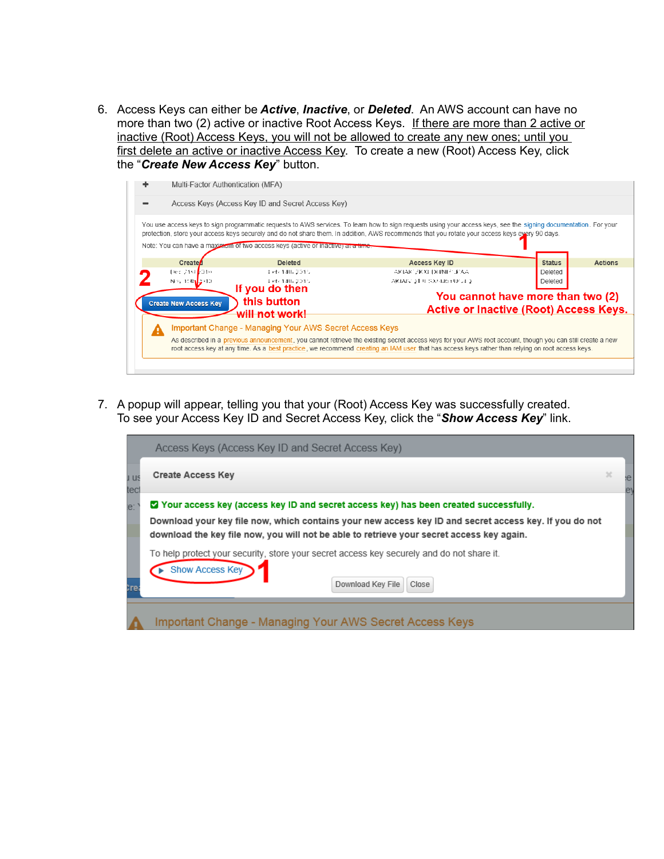6. Access Keys can either be *Active*, *Inactive*, or *Deleted*. An AWS account can have no more than two (2) active or inactive Root Access Keys. If there are more than 2 active or inactive (Root) Access Keys, you will not be allowed to create any new ones; until you first delete an active or inactive Access Key. To create a new (Root) Access Key, click the "*Create New Access Key*" button.



7. A popup will appear, telling you that your (Root) Access Key was successfully created. To see your Access Key ID and Secret Access Key, click the "*Show Access Key*" link.